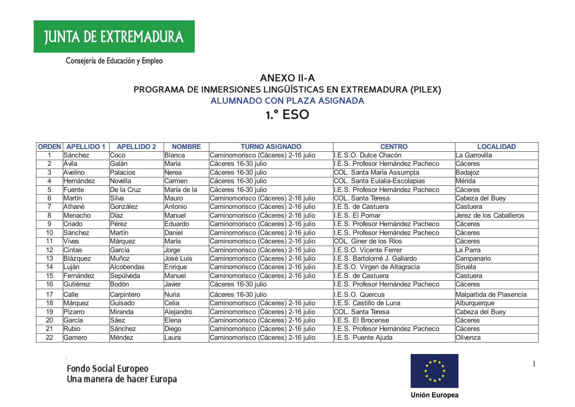## **ANEXO II-A** PROGRAMA DE INMERSIONES LINGÜÍSTICAS EN EXTREMADURA (PILEX) **ALUMNADO CON PLAZA ASIGNADA**

# **1.° ESO**

| <b>ORDEN</b> | <b>APELLIDO 1</b> | <b>APELLIDO 2</b> | <b>NOMBRE</b> | <b>TURNO ASIGNADO</b>              | <b>CENTRO</b>                     | <b>LOCALIDAD</b>        |
|--------------|-------------------|-------------------|---------------|------------------------------------|-----------------------------------|-------------------------|
|              | Sánchez           | Coco              | Blanca        | Caminomorisco (Cáceres) 2-16 julio | .E.S.O. Dulce Chacón              | La Garrovilla           |
| 2            | Ávila             | Galàn             | Maria         | Cáceres 16-30 julio                | .E.S. Profesor Hernández Pacheco  | Cáceres                 |
| 3            | Avelino           | Palacios          | Nerea         | Cáceres 16-30 julio                | COL. Santa María Assumpta         | Badajoz                 |
| 4            | Hernández         | Novella           | Carmen        | Cáceres 16-30 julio                | COL. Santa Eulalia-Escolapias     | Mérida                  |
| 5            | Fuente            | De la Cruz        | María de la   | Cáceres 16-30 julio                | .E.S. Profesor Hernández Pacheco  | Cáceres                 |
| 6            | Martín            | Silva             | Mauro         | Caminomorisco (Cáceres) 2-16 julio | COL. Santa Teresa                 | Cabeza del Buey         |
| 7            | Athané            | González          | Antonio       | Caminomorisco (Cáceres) 2-16 julio | I.E.S. de Castuera                | Castuera                |
| 8            | Menacho           | Díaz              | Manuel        | Caminomorisco (Cáceres) 2-16 julio | I.E.S. El Pomar                   | Jerez de los Caballeros |
| 9            | Criado            | Pérez             | Eduardo       | Caminomorisco (Cáceres) 2-16 julio | I.E.S. Profesor Hernández Pacheco | Cáceres                 |
| 10           | Sánchez           | Martín            | Daniel        | Caminomorisco (Cáceres) 2-16 julio | I.E.S. Profesor Hernández Pacheco | Cáceres                 |
| 11           | Vivas             | Márquez           | María         | Caminomorisco (Cáceres) 2-16 julio | COL. Giner de los Ríos            | Cáceres                 |
| 12           | Cintas            | García            | Jorge         | Caminomorisco (Cáceres) 2-16 julio | I.E.S.O. Vicente Ferrer           | La Parra                |
| 13           | Blázquez          | Muñoz             | José Luis     | Caminomorisco (Cáceres) 2-16 julio | I.E.S. Bartolomé J. Gallardo      | Campanario              |
| 14           | Luján             | Alcobendas        | Enrique       | Caminomorisco (Cáceres) 2-16 julio | I.E.S.O. Virgen de Altagracia     | Siruela                 |
| 15           | Fernández         | Sepúlveda         | Manuel        | Caminomorisco (Cáceres) 2-16 julio | I.E.S. de Castuera                | Castuera                |
| 16           | Gutiérrez         | Bodón             | Javier        | Cáceres 16-30 julio                | .E.S. Profesor Hernández Pacheco  | Cáceres                 |
| 17           | Calle             | Carpintero        | Nuria         | Cáceres 16-30 julio                | I.E.S.O. Quercus                  | Malpartida de Plasencia |
| 18           | Márquez           | Guisado           | Celia         | Caminomorisco (Cáceres) 2-16 julio | I.E.S. Castillo de Luna           | Alburquerque            |
| 19           | Pizarro           | Miranda           | Alejandro     | Caminomorisco (Cáceres) 2-16 julio | COL. Santa Teresa                 | Cabeza del Buey         |
| 20           | García            | Sáez              | Elena         | Caminomorisco (Cáceres) 2-16 julio | I.E.S. El Brocense                | Cáceres                 |
| 21           | Rubio             | Sánchez           | Diego         | Caminomorisco (Cáceres) 2-16 julio | I.E.S. Profesor Hernández Pacheco | Cáceres                 |
| 22           | Gamero            | Méndez            | Laura         | Caminomorisco (Cáceres) 2-16 julio | I.E.S. Puente Ajuda               | Olivenza                |
|              |                   |                   |               |                                    |                                   |                         |

Fondo Social Europeo<br>Una manera de hacer Europa



 $\overline{1}$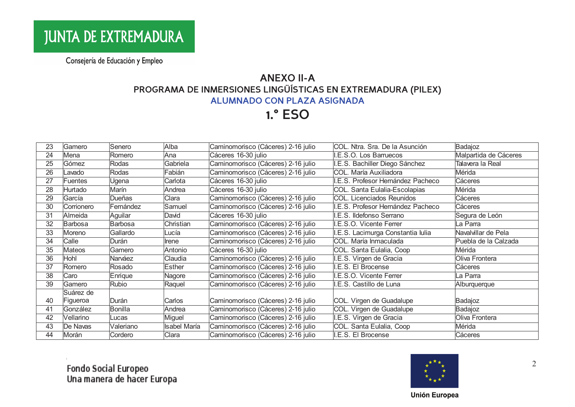## **ANEXO II-A** PROGRAMA DE INMERSIONES LINGÜÍSTICAS EN EXTREMADURA (PILEX) **ALUMNADO CON PLAZA ASIGNADA**

**1.° ESO** 

| 23 | Gamero         | Senero        | Alba         | Caminomorisco (Cáceres) 2-16 julio | COL. Ntra. Sra. De la Asunción    | Badajoz               |
|----|----------------|---------------|--------------|------------------------------------|-----------------------------------|-----------------------|
| 24 | Mena           | Romero        | Ana          | Cáceres 16-30 julio                | I.E.S.O. Los Barruecos            | Malpartida de Cáceres |
| 25 | Gómez          | Rodas         | Gabriela     | Caminomorisco (Cáceres) 2-16 julio | I.E.S. Bachiller Diego Sánchez    | Talavera la Real      |
| 26 | Lavado         | Rodas         | Fabián       | Caminomorisco (Cáceres) 2-16 julio | COL. María Auxiliadora            | Mérida                |
| 27 | <b>Fuentes</b> | Ugena         | Carlota      | Cáceres 16-30 julio                | I.E.S. Profesor Hernández Pacheco | Cáceres               |
| 28 | Hurtado        | Marín         | Andrea       | Cáceres 16-30 julio                | COL. Santa Eulalia-Escolapias     | Mérida                |
| 29 | García         | <b>Dueñas</b> | Clara        | Caminomorisco (Cáceres) 2-16 julio | COL. Licenciados Reunidos         | Cáceres               |
| 30 | Corrionero     | Fernández     | Samuel       | Caminomorisco (Cáceres) 2-16 julio | I.E.S. Profesor Hernández Pacheco | Cáceres               |
| 31 | Almeida        | Aguilar       | David        | Cáceres 16-30 julio                | I.E.S. Ildefonso Serrano          | Segura de León        |
| 32 | <b>Barbosa</b> | Barbosa       | Christian    | Caminomorisco (Cáceres) 2-16 julio | I.E.S.O. Vicente Ferrer           | La Parra              |
| 33 | Moreno         | Gallardo      | Lucía        | Caminomorisco (Cáceres) 2-16 julio | I.E.S. Lacimurga Constantia Iulia | Navalvillar de Pela   |
| 34 | Calle          | Durán         | Irene        | Caminomorisco (Cáceres) 2-16 julio | COL. María Inmaculada             | Puebla de la Calzada  |
| 35 | <b>Mateos</b>  | Gamero        | Antonio      | Cáceres 16-30 julio                | COL. Santa Eulalia, Coop          | Mérida                |
| 36 | Hohl           | Narváez       | Claudia      | Caminomorisco (Cáceres) 2-16 julio | I.E.S. Virgen de Gracia           | Oliva Frontera        |
| 37 | Romero         | Rosado        | Esther       | Caminomorisco (Cáceres) 2-16 julio | I.E.S. El Brocense                | Cáceres               |
| 38 | Caro           | Enrique       | Nagore       | Caminomorisco (Cáceres) 2-16 julio | I.E.S.O. Vicente Ferrer           | La Parra              |
| 39 | Gamero         | Rubio         | Raquel       | Caminomorisco (Cáceres) 2-16 julio | I.E.S. Castillo de Luna           | Alburquerque          |
|    | Suárez de      |               |              |                                    |                                   |                       |
| 40 | Figueroa       | Durán         | Carlos       | Caminomorisco (Cáceres) 2-16 julio | COL. Virgen de Guadalupe          | Badajoz               |
| 41 | González       | Bonilla       | Andrea       | Caminomorisco (Cáceres) 2-16 julio | COL. Virgen de Guadalupe          | Badajoz               |
| 42 | Vellarino      | Lucas         | Miguel       | Caminomorisco (Cáceres) 2-16 julio | I.E.S. Virgen de Gracia           | Oliva Frontera        |
| 43 | De Navas       | Valeriano     | Isabel María | Caminomorisco (Cáceres) 2-16 julio | COL. Santa Eulalia, Coop          | Mérida                |
| 44 | Morán          | Cordero       | Clara        | Caminomorisco (Cáceres) 2-16 julio | I.E.S. El Brocense                | Cáceres               |



2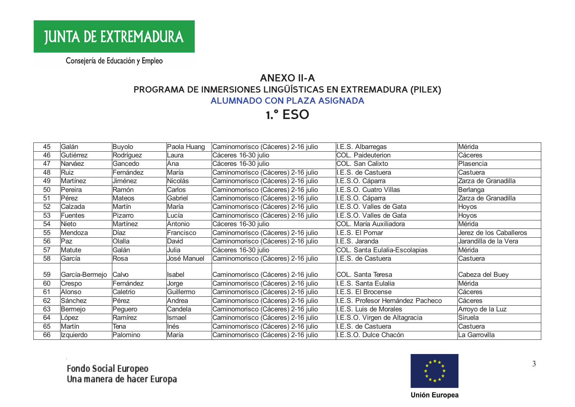## **ANEXO II-A** PROGRAMA DE INMERSIONES LINGÜÍSTICAS EN EXTREMADURA (PILEX) **ALUMNADO CON PLAZA ASIGNADA**

# **1.° ESO**

| 45 | Galán            | Buyolo    | Paola Huang | Caminomorisco (Cáceres) 2-16 julio | I.E.S. Albarregas                 | Mérida                  |
|----|------------------|-----------|-------------|------------------------------------|-----------------------------------|-------------------------|
| 46 | Gutiérrez        | Rodríguez | Laura       | Cáceres 16-30 julio                | COL. Paideuterion                 | Cáceres                 |
| 47 | Narváez          | Gancedo   | Ana         | Cáceres 16-30 julio                | COL. San Calixto                  | Plasencia               |
| 48 | Ruiz             | Fernández | María       | Caminomorisco (Cáceres) 2-16 julio | I.E.S. de Castuera                | Castuera                |
| 49 | Martínez         | Jiménez   | Nicolás     | Caminomorisco (Cáceres) 2-16 julio | I.E.S.O. Cáparra                  | Zarza de Granadilla     |
| 50 | Pereira          | Ramón     | Carlos      | Caminomorisco (Cáceres) 2-16 julio | I.E.S.O. Cuatro Villas            | Berlanga                |
| 51 | Pérez            | Mateos    | Gabriel     | Caminomorisco (Cáceres) 2-16 julio | I.E.S.O. Cáparra                  | Zarza de Granadilla     |
| 52 | Calzada          | Martín    | María       | Caminomorisco (Cáceres) 2-16 julio | I.E.S.O. Valles de Gata           | Hoyos                   |
| 53 | Fuentes          | Pizarro   | Lucía       | Caminomorisco (Cáceres) 2-16 julio | I.E.S.O. Valles de Gata           | Hoyos                   |
| 54 | Nieto            | Martínez  | Antonio     | Cáceres 16-30 julio                | COL. María Auxiliadora            | Mérida                  |
| 55 | Mendoza          | Díaz      | Francisco   | Caminomorisco (Cáceres) 2-16 julio | I.E.S. El Pomar                   | Jerez de los Caballeros |
| 56 | Paz              | Olalla    | David       | Caminomorisco (Cáceres) 2-16 julio | I.E.S. Jaranda                    | Jarandilla de la Vera   |
| 57 | Matute           | Galán     | Julia       | Cáceres 16-30 julio                | COL. Santa Eulalia-Escolapias     | Mérida                  |
| 58 | García           | Rosa      | José Manuel | Caminomorisco (Cáceres) 2-16 julio | I.E.S. de Castuera                | Castuera                |
|    |                  |           |             |                                    |                                   |                         |
| 59 | García-Bermejo   | Calvo     | Isabel      | Caminomorisco (Cáceres) 2-16 julio | COL. Santa Teresa                 | Cabeza del Buey         |
| 60 | Crespo           | Fernández | Jorge       | Caminomorisco (Cáceres) 2-16 julio | I.E.S. Santa Eulalia              | Mérida                  |
| 61 | Alonso           | Caletrio  | Guillermo   | Caminomorisco (Cáceres) 2-16 julio | I.E.S. El Brocense                | Cáceres                 |
| 62 | Sánchez          | Pérez     | Andrea      | Caminomorisco (Cáceres) 2-16 julio | I.E.S. Profesor Hernández Pacheco | Cáceres                 |
| 63 | Bermejo          | Peguero   | Candela     | Caminomorisco (Cáceres) 2-16 julio | I.E.S. Luis de Morales            | Arroyo de la Luz        |
| 64 | López            | Ramírez   | Ismael      | Caminomorisco (Cáceres) 2-16 julio | I.E.S.O. Virgen de Altagracia     | Siruela                 |
| 65 | Martín           | Tena      | <b>Inés</b> | Caminomorisco (Cáceres) 2-16 julio | I.E.S. de Castuera                | Castuera                |
| 66 | <b>Izquierdo</b> | Palomino  | María       | Caminomorisco (Cáceres) 2-16 julio | I.E.S.O. Dulce Chacón             | La Garrovilla           |

Fondo Social Europeo<br>Una manera de hacer Europa



 $\overline{3}$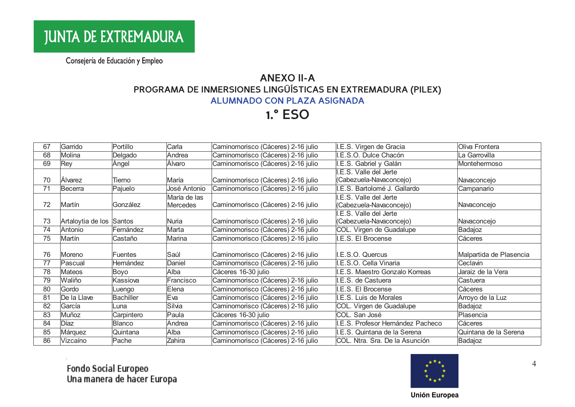## **ANEXO II-A** PROGRAMA DE INMERSIONES LINGÜÍSTICAS EN EXTREMADURA (PILEX) **ALUMNADO CON PLAZA ASIGNADA**

**1.° ESO** 

| 67 | Garrido                  | Portillo         | Carla        | Caminomorisco (Cáceres) 2-16 julio | I.E.S. Virgen de Gracia           | Oliva Frontera          |
|----|--------------------------|------------------|--------------|------------------------------------|-----------------------------------|-------------------------|
| 68 | Molina                   | Delgado          | Andrea       | Caminomorisco (Cáceres) 2-16 julio | I.E.S.O. Dulce Chacón             | La Garrovilla           |
| 69 | Rey                      | Ángel            | Álvaro       | Caminomorisco (Cáceres) 2-16 julio | I.E.S. Gabriel y Galán            | Montehermoso            |
|    |                          |                  |              |                                    | I.E.S. Valle del Jerte            |                         |
| 70 | <b>Alvarez</b>           | Tierno           | María        | Caminomorisco (Cáceres) 2-16 julio | (Cabezuela-Navaconcejo)           | Navaconcejo             |
| 71 | Becerra                  | Pajuelo          | José Antonio | Caminomorisco (Cáceres) 2-16 julio | I.E.S. Bartolomé J. Gallardo      | Campanario              |
|    |                          |                  | María de las |                                    | I.E.S. Valle del Jerte            |                         |
| 72 | Martín                   | González         | Mercedes     | Caminomorisco (Cáceres) 2-16 julio | (Cabezuela-Navaconcejo)           | Navaconcejo             |
|    |                          |                  |              |                                    | I.E.S. Valle del Jerte            |                         |
| 73 | Artaloytia de los Santos |                  | <b>Nuria</b> | Caminomorisco (Cáceres) 2-16 julio | (Cabezuela-Navaconcejo)           | Navaconcejo             |
| 74 | Antonio                  | Fernández        | Marta        | Caminomorisco (Cáceres) 2-16 julio | COL. Virgen de Guadalupe          | Badajoz                 |
| 75 | Martín                   | Castaño          | Marina       | Caminomorisco (Cáceres) 2-16 julio | I.E.S. El Brocense                | Cáceres                 |
|    |                          |                  |              |                                    |                                   |                         |
| 76 | Moreno                   | Fuentes          | Saúl         | Caminomorisco (Cáceres) 2-16 julio | I.E.S.O. Quercus                  | Malpartida de Plasencia |
| 77 | Pascual                  | Hernández        | Daniel       | Caminomorisco (Cáceres) 2-16 julio | I.E.S.O. Cella Vinaria            | Ceclavin                |
| 78 | Mateos                   | Boyo             | Alba         | Cáceres 16-30 julio                | I.E.S. Maestro Gonzalo Korreas    | Jaraiz de la Vera       |
| 79 | Waliño                   | Kassiova         | Francisco    | Caminomorisco (Cáceres) 2-16 julio | I.E.S. de Castuera                | Castuera                |
| 80 | Gordo                    | Luengo           | Elena        | Caminomorisco (Cáceres) 2-16 julio | I.E.S. El Brocense                | Cáceres                 |
| 81 | De la Llave              | <b>Bachiller</b> | Eva          | Caminomorisco (Cáceres) 2-16 julio | I.E.S. Luis de Morales            | Arroyo de la Luz        |
| 82 | García                   | Luna             | Silvia       | Caminomorisco (Cáceres) 2-16 julio | COL. Virgen de Guadalupe          | Badajoz                 |
| 83 | Muñoz                    | Carpintero       | Paula        | Cáceres 16-30 julio                | COL. San José                     | Plasencia               |
| 84 | Díaz                     | Blanco           | Andrea       | Caminomorisco (Cáceres) 2-16 julio | I.E.S. Profesor Hernández Pacheco | Cáceres                 |
| 85 | Márquez                  | Quintana         | Alba         | Caminomorisco (Cáceres) 2-16 julio | I.E.S. Quintana de la Serena      | Quintana de la Serena   |
| 86 | Vizcaíno                 | Pache            | Zahira       | Caminomorisco (Cáceres) 2-16 julio | COL. Ntra. Sra. De la Asunción    | Badajoz                 |
|    |                          |                  |              |                                    |                                   |                         |

Fondo Social Europeo<br>Una manera de hacer Europa



 $\overline{4}$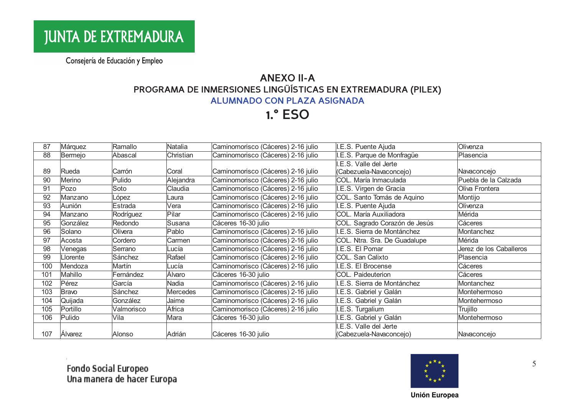## **ANEXO II-A** PROGRAMA DE INMERSIONES LINGÜÍSTICAS EN EXTREMADURA (PILEX) **ALUMNADO CON PLAZA ASIGNADA**

**1.° ESO** 

| 87  | Márquez  | Ramallo    | Natalia   | Caminomorisco (Cáceres) 2-16 julio | I.E.S. Puente Ajuda           | Olivenza                |
|-----|----------|------------|-----------|------------------------------------|-------------------------------|-------------------------|
| 88  | Bermejo  | Abascal    | Christian | Caminomorisco (Cáceres) 2-16 julio | I.E.S. Parque de Monfragüe    | Plasencia               |
|     |          |            |           |                                    | I.E.S. Valle del Jerte        |                         |
| 89  | Rueda    | Carrón     | Coral     | Caminomorisco (Cáceres) 2-16 julio | (Cabezuela-Navaconcejo)       | Navaconcejo             |
| 90  | Merino   | Pulido     | Alejandra | Caminomorisco (Cáceres) 2-16 julio | COL. María Inmaculada         | Puebla de la Calzada    |
| 91  | Pozo     | Soto       | Claudia   | Caminomorisco (Cáceres) 2-16 julio | I.E.S. Virgen de Gracia       | Oliva Frontera          |
| 92  | Manzano  | López      | Laura     | Caminomorisco (Cáceres) 2-16 julio | COL. Santo Tomás de Aquino    | Montijo                 |
| 93  | Aunión   | Estrada    | Vera      | Caminomorisco (Cáceres) 2-16 julio | I.E.S. Puente Ajuda           | Olivenza                |
| 94  | Manzano  | Rodríguez  | Pilar     | Caminomorisco (Cáceres) 2-16 julio | COL. María Auxiliadora        | Mérida                  |
| 95  | González | Redondo    | Susana    | Cáceres 16-30 julio                | COL. Sagrado Corazón de Jesús | Cáceres                 |
| 96  | Solano   | Olivera    | Pablo     | Caminomorisco (Cáceres) 2-16 julio | I.E.S. Sierra de Montánchez   | Montanchez              |
| 97  | Acosta   | Cordero    | Carmen    | Caminomorisco (Cáceres) 2-16 julio | COL. Ntra. Sra. De Guadalupe  | Mérida                  |
| 98  | Venegas  | Serrano    | Lucía     | Caminomorisco (Cáceres) 2-16 julio | I.E.S. El Pomar               | Jerez de los Caballeros |
| 99  | Llorente | Sánchez    | Rafael    | Caminomorisco (Cáceres) 2-16 julio | COL. San Calixto              | Plasencia               |
| 100 | Mendoza  | Martín     | Lucía     | Caminomorisco (Cáceres) 2-16 julio | I.E.S. El Brocense            | Cáceres                 |
| 101 | Mahillo  | Fernández  | Álvaro    | Cáceres 16-30 julio                | COL. Paideuterion             | Cáceres                 |
| 102 | Pérez    | García     | Nadia     | Caminomorisco (Cáceres) 2-16 julio | I.E.S. Sierra de Montánchez   | Montanchez              |
| 103 | Bravo    | Sánchez    | Mercedes  | Caminomorisco (Cáceres) 2-16 julio | I.E.S. Gabriel y Galán        | Montehermoso            |
| 104 | Quijada  | González   | Jaime     | Caminomorisco (Cáceres) 2-16 julio | I.E.S. Gabriel y Galán        | Montehermoso            |
| 105 | Portillo | Valmorisco | África    | Caminomorisco (Cáceres) 2-16 julio | I.E.S. Turgalium              | Trujillo                |
| 106 | Pulido   | Vila       | Mara      | Cáceres 16-30 julio                | I.E.S. Gabriel y Galán        | Montehermoso            |
|     |          |            |           |                                    | .E.S. Valle del Jerte         |                         |
| 107 | Alvarez  | Alonso     | Adrián    | Cáceres 16-30 julio                | (Cabezuela-Navaconcejo)       | Navaconcejo             |



5